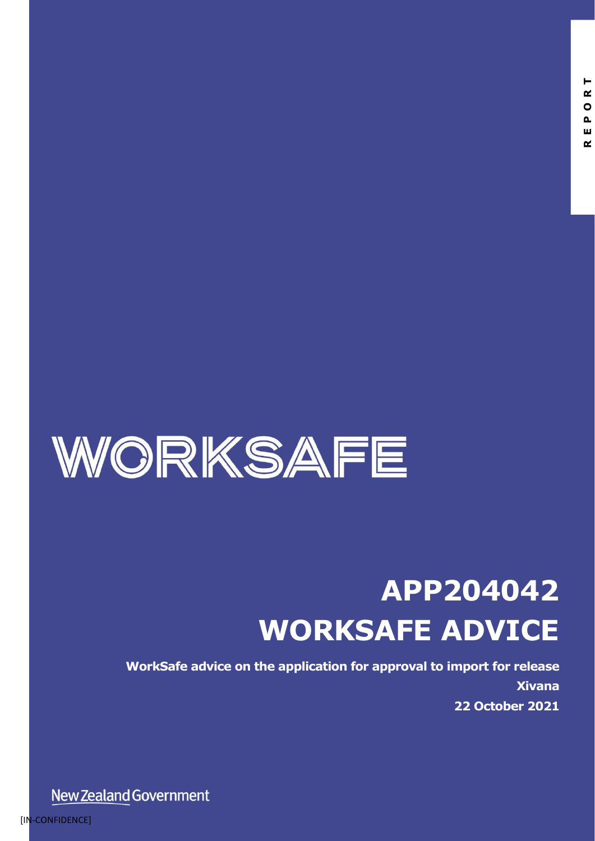

# **APP204042 WORKSAFE ADVICE**

**WorkSafe advice on the application for approval to import for release Xivana 22 October 2021**

New Zealand Government

[IN-CONFIDENCE]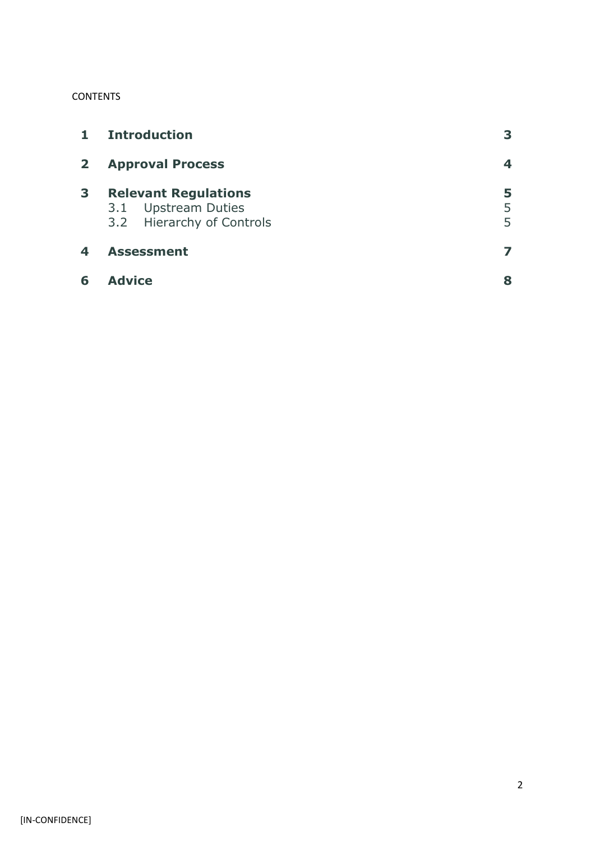#### **CONTENTS**

| $\mathbf{1}$ | <b>Introduction</b>                                                             |             |
|--------------|---------------------------------------------------------------------------------|-------------|
| $\mathbf{2}$ | <b>Approval Process</b>                                                         | 4           |
| 3            | <b>Relevant Regulations</b><br>3.1 Upstream Duties<br>3.2 Hierarchy of Controls | 5<br>5<br>5 |
| 4            | <b>Assessment</b>                                                               |             |
| 6            | <b>Advice</b>                                                                   | 8           |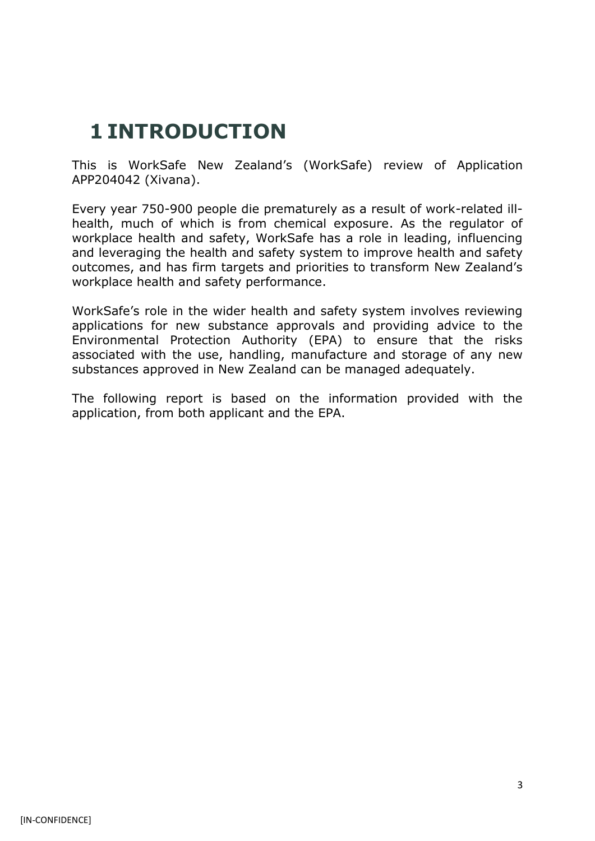### **1 INTRODUCTION**

This is WorkSafe New Zealand's (WorkSafe) review of Application APP204042 (Xivana).

Every year 750-900 people die prematurely as a result of work-related illhealth, much of which is from chemical exposure. As the regulator of workplace health and safety, WorkSafe has a role in leading, influencing and leveraging the health and safety system to improve health and safety outcomes, and has firm targets and priorities to transform New Zealand's workplace health and safety performance.

WorkSafe's role in the wider health and safety system involves reviewing applications for new substance approvals and providing advice to the Environmental Protection Authority (EPA) to ensure that the risks associated with the use, handling, manufacture and storage of any new substances approved in New Zealand can be managed adequately.

The following report is based on the information provided with the application, from both applicant and the EPA.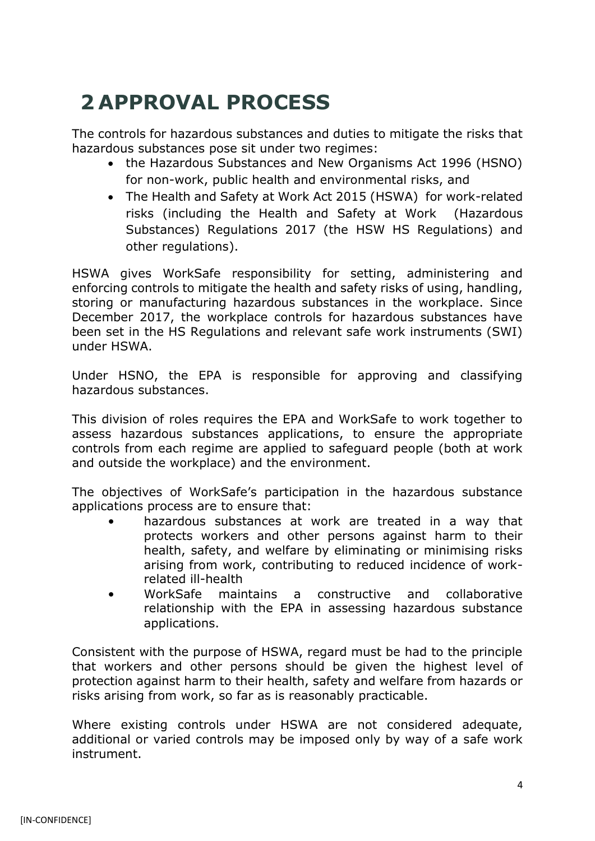# **2 APPROVAL PROCESS**

The controls for hazardous substances and duties to mitigate the risks that hazardous substances pose sit under two regimes:

- the Hazardous Substances and New Organisms Act 1996 (HSNO) for non-work, public health and environmental risks, and
- The Health and Safety at Work Act 2015 (HSWA) for work-related risks (including the Health and Safety at Work (Hazardous Substances) Regulations 2017 (the HSW HS Regulations) and other regulations).

HSWA gives WorkSafe responsibility for setting, administering and enforcing controls to mitigate the health and safety risks of using, handling, storing or manufacturing hazardous substances in the workplace. Since December 2017, the workplace controls for hazardous substances have been set in the HS Regulations and relevant safe work instruments (SWI) under HSWA.

Under HSNO, the EPA is responsible for approving and classifying hazardous substances.

This division of roles requires the EPA and WorkSafe to work together to assess hazardous substances applications, to ensure the appropriate controls from each regime are applied to safeguard people (both at work and outside the workplace) and the environment.

The objectives of WorkSafe's participation in the hazardous substance applications process are to ensure that:

- hazardous substances at work are treated in a way that protects workers and other persons against harm to their health, safety, and welfare by eliminating or minimising risks arising from work, contributing to reduced incidence of workrelated ill-health
- WorkSafe maintains a constructive and collaborative relationship with the EPA in assessing hazardous substance applications.

Consistent with the purpose of HSWA, regard must be had to the principle that workers and other persons should be given the highest level of protection against harm to their health, safety and welfare from hazards or risks arising from work, so far as is reasonably practicable.

Where existing controls under HSWA are not considered adequate, additional or varied controls may be imposed only by way of a safe work instrument.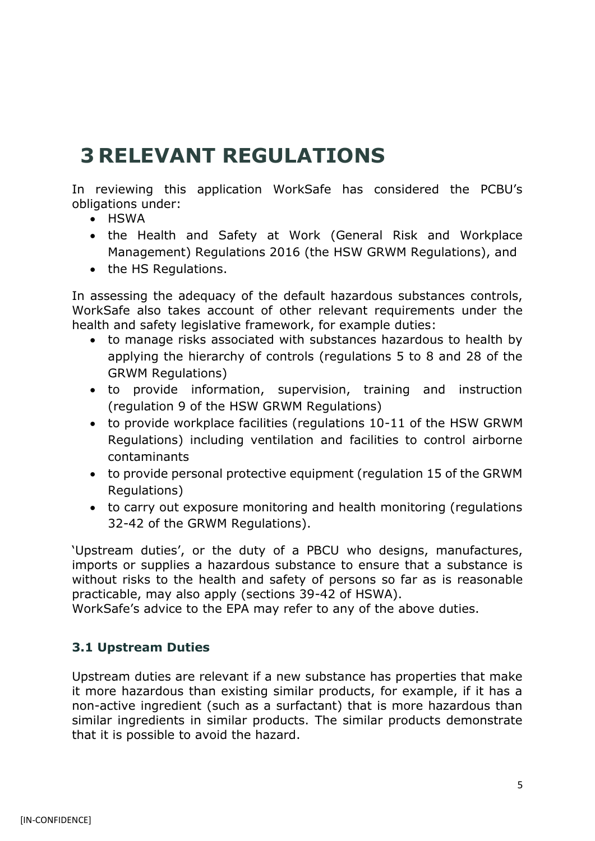### **3 RELEVANT REGULATIONS**

In reviewing this application WorkSafe has considered the PCBU's obligations under:

- HSWA
- the Health and Safety at Work (General Risk and Workplace Management) Regulations 2016 (the HSW GRWM Regulations), and
- the HS Regulations.

In assessing the adequacy of the default hazardous substances controls, WorkSafe also takes account of other relevant requirements under the health and safety legislative framework, for example duties:

- to manage risks associated with substances hazardous to health by applying the hierarchy of controls (regulations 5 to 8 and 28 of the GRWM Regulations)
- to provide information, supervision, training and instruction (regulation 9 of the HSW GRWM Regulations)
- to provide workplace facilities (regulations 10-11 of the HSW GRWM Regulations) including ventilation and facilities to control airborne contaminants
- to provide personal protective equipment (regulation 15 of the GRWM Regulations)
- to carry out exposure monitoring and health monitoring (regulations 32-42 of the GRWM Regulations).

'Upstream duties', or the duty of a PBCU who designs, manufactures, imports or supplies a hazardous substance to ensure that a substance is without risks to the health and safety of persons so far as is reasonable practicable, may also apply (sections 39-42 of HSWA).

WorkSafe's advice to the EPA may refer to any of the above duties.

#### **3.1 Upstream Duties**

Upstream duties are relevant if a new substance has properties that make it more hazardous than existing similar products, for example, if it has a non-active ingredient (such as a surfactant) that is more hazardous than similar ingredients in similar products. The similar products demonstrate that it is possible to avoid the hazard.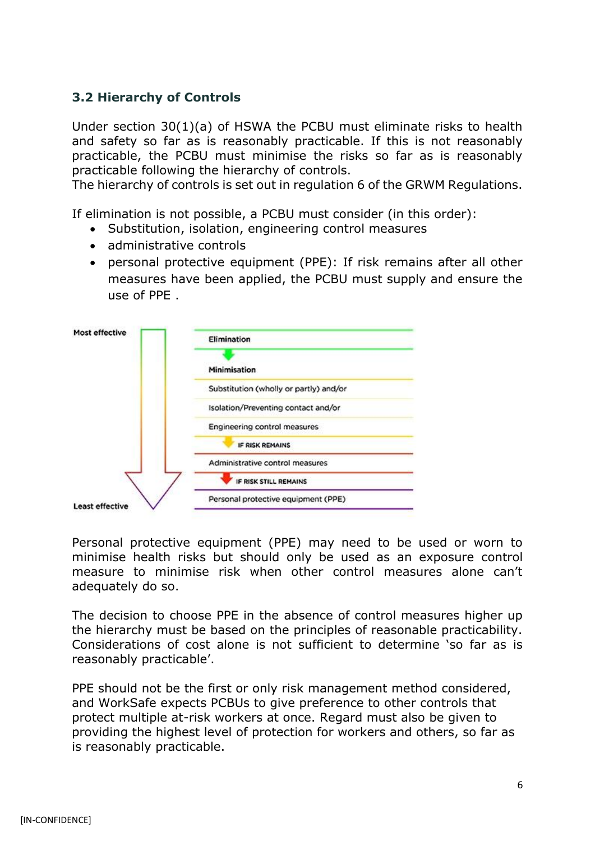#### **3.2 Hierarchy of Controls**

Under section 30(1)(a) of HSWA the PCBU must eliminate risks to health and safety so far as is reasonably practicable. If this is not reasonably practicable, the PCBU must minimise the risks so far as is reasonably practicable following the hierarchy of controls.

The hierarchy of controls is set out in regulation 6 of the GRWM Regulations.

If elimination is not possible, a PCBU must consider (in this order):

- Substitution, isolation, engineering control measures
- administrative controls
- personal protective equipment (PPE): If risk remains after all other measures have been applied, the PCBU must supply and ensure the use of PPE .



Personal protective equipment (PPE) may need to be used or worn to minimise health risks but should only be used as an exposure control measure to minimise risk when other control measures alone can't adequately do so.

The decision to choose PPE in the absence of control measures higher up the hierarchy must be based on the principles of reasonable practicability. Considerations of cost alone is not sufficient to determine 'so far as is reasonably practicable'.

PPE should not be the first or only risk management method considered, and WorkSafe expects PCBUs to give preference to other controls that protect multiple at-risk workers at once. Regard must also be given to providing the highest level of protection for workers and others, so far as is reasonably practicable.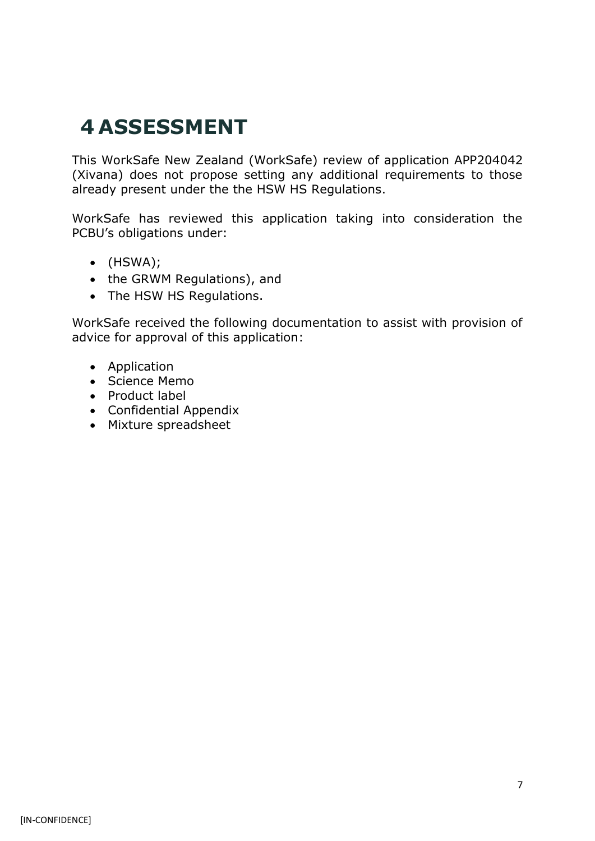### **4 ASSESSMENT**

This WorkSafe New Zealand (WorkSafe) review of application APP204042 (Xivana) does not propose setting any additional requirements to those already present under the the HSW HS Regulations.

WorkSafe has reviewed this application taking into consideration the PCBU's obligations under:

- (HSWA);
- the GRWM Regulations), and
- The HSW HS Regulations.

WorkSafe received the following documentation to assist with provision of advice for approval of this application:

- Application
- Science Memo
- Product label
- Confidential Appendix
- Mixture spreadsheet